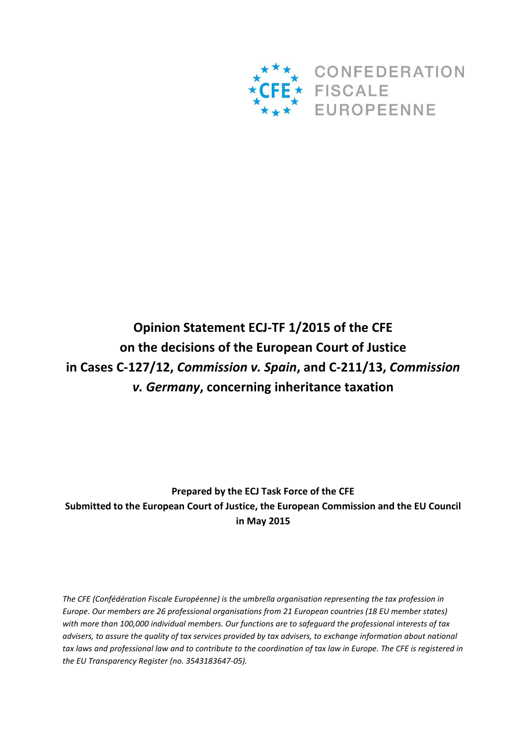

# **Opinion Statement ECJ-TF 1/2015 of the CFE on the decisions of the European Court of Justice in Cases C-127/12,** *Commission v. Spain***, and C-211/13,** *Commission v. Germany***, concerning inheritance taxation**

**Prepared by the ECJ Task Force of the CFE Submitted to the European Court of Justice, the European Commission and the EU Council in May 2015** 

*The CFE (Confédération Fiscale Européenne) is the umbrella organisation representing the tax profession in Europe. Our members are 26 professional organisations from 21 European countries (18 EU member states) with more than 100,000 individual members. Our functions are to safeguard the professional interests of tax advisers, to assure the quality of tax services provided by tax advisers, to exchange information about national tax laws and professional law and to contribute to the coordination of tax law in Europe. The CFE is registered in the EU Transparency Register (no. 3543183647‐05).*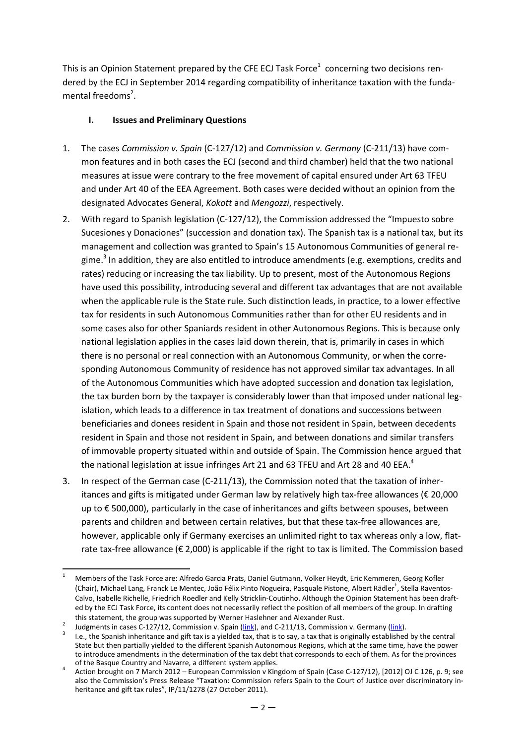This is an Opinion Statement prepared by the CFE ECJ Task Force<sup>1</sup> concerning two decisions rendered by the ECJ in September 2014 regarding compatibility of inheritance taxation with the fundamental freedoms<sup>2</sup>.

## **I. Issues and Preliminary Questions**

- 1. The cases *Commission v. Spain* (C-127/12) and *Commission v. Germany* (C-211/13) have common features and in both cases the ECJ (second and third chamber) held that the two national measures at issue were contrary to the free movement of capital ensured under Art 63 TFEU and under Art 40 of the EEA Agreement. Both cases were decided without an opinion from the designated Advocates General, *Kokott* and *Mengozzi*, respectively.
- 2. With regard to Spanish legislation (C-127/12), the Commission addressed the "Impuesto sobre Sucesiones y Donaciones" (succession and donation tax). The Spanish tax is a national tax, but its management and collection was granted to Spain's 15 Autonomous Communities of general regime.<sup>3</sup> In addition, they are also entitled to introduce amendments (e.g. exemptions, credits and rates) reducing or increasing the tax liability. Up to present, most of the Autonomous Regions have used this possibility, introducing several and different tax advantages that are not available when the applicable rule is the State rule. Such distinction leads, in practice, to a lower effective tax for residents in such Autonomous Communities rather than for other EU residents and in some cases also for other Spaniards resident in other Autonomous Regions. This is because only national legislation applies in the cases laid down therein, that is, primarily in cases in which there is no personal or real connection with an Autonomous Community, or when the corresponding Autonomous Community of residence has not approved similar tax advantages. In all of the Autonomous Communities which have adopted succession and donation tax legislation, the tax burden born by the taxpayer is considerably lower than that imposed under national legislation, which leads to a difference in tax treatment of donations and successions between beneficiaries and donees resident in Spain and those not resident in Spain, between decedents resident in Spain and those not resident in Spain, and between donations and similar transfers of immovable property situated within and outside of Spain. The Commission hence argued that the national legislation at issue infringes Art 21 and 63 TFEU and Art 28 and 40 EEA.<sup>4</sup>
- 3. In respect of the German case (C-211/13), the Commission noted that the taxation of inheritances and gifts is mitigated under German law by relatively high tax-free allowances (€ 20,000 up to € 500,000), particularly in the case of inheritances and gifts between spouses, between parents and children and between certain relatives, but that these tax-free allowances are, however, applicable only if Germany exercises an unlimited right to tax whereas only a low, flatrate tax-free allowance ( $\epsilon$  2,000) is applicable if the right to tax is limited. The Commission based

l 1 Members of the Task Force are: Alfredo Garcia Prats, Daniel Gutmann, Volker Heydt, Eric Kemmeren, Georg Kofler (Chair), Michael Lang, Franck Le Mentec, João Félix Pinto Nogueira, Pasquale Pistone, Albert Rädler† , Stella Raventos-Calvo, Isabelle Richelle, Friedrich Roedler and Kelly Stricklin-Coutinho. Although the Opinion Statement has been drafted by the ECJ Task Force, its content does not necessarily reflect the position of all members of the group. In drafting this statement, the group was supported by Werner Haslehner and Alexander Rust.

<sup>2</sup> Judgments in cases C-127/12, Commission v. Spain (link), and C-211/13, Commission v. Germany (link).

<sup>3</sup> I.e., the Spanish inheritance and gift tax is a yielded tax, that is to say, a tax that is originally established by the central State but then partially yielded to the different Spanish Autonomous Regions, which at the same time, have the power to introduce amendments in the determination of the tax debt that corresponds to each of them. As for the provinces of the Basque Country and Navarre, a different system applies.

<sup>4</sup> Action brought on 7 March 2012 – European Commission v Kingdom of Spain (Case C-127/12), [2012] OJ C 126, p. 9; see also the Commission's Press Release "Taxation: Commission refers Spain to the Court of Justice over discriminatory inheritance and gift tax rules", IP/11/1278 (27 October 2011).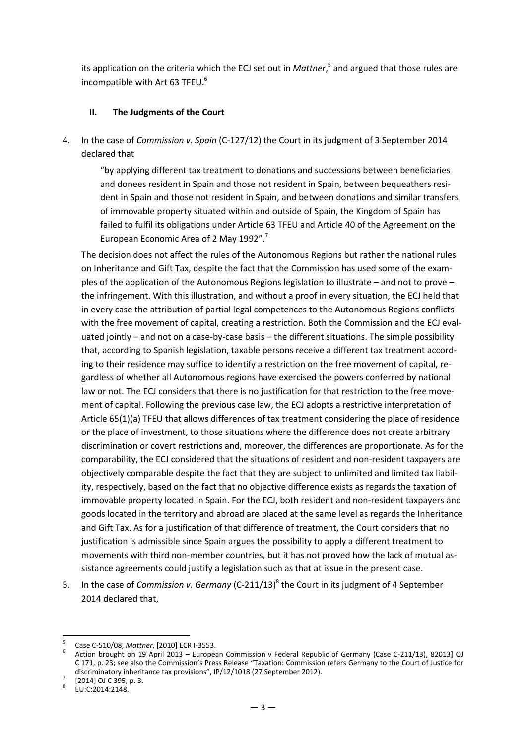its application on the criteria which the ECJ set out in *Mattner*, 5 and argued that those rules are incompatible with Art 63 TFEU.<sup>6</sup>

#### **II. The Judgments of the Court**

4. In the case of *Commission v. Spain* (C-127/12) the Court in its judgment of 3 September 2014 declared that

"by applying different tax treatment to donations and successions between beneficiaries and donees resident in Spain and those not resident in Spain, between bequeathers resident in Spain and those not resident in Spain, and between donations and similar transfers of immovable property situated within and outside of Spain, the Kingdom of Spain has failed to fulfil its obligations under Article 63 TFEU and Article 40 of the Agreement on the European Economic Area of 2 May 1992".<sup>7</sup>

The decision does not affect the rules of the Autonomous Regions but rather the national rules on Inheritance and Gift Tax, despite the fact that the Commission has used some of the examples of the application of the Autonomous Regions legislation to illustrate – and not to prove – the infringement. With this illustration, and without a proof in every situation, the ECJ held that in every case the attribution of partial legal competences to the Autonomous Regions conflicts with the free movement of capital, creating a restriction. Both the Commission and the ECJ evaluated jointly – and not on a case-by-case basis – the different situations. The simple possibility that, according to Spanish legislation, taxable persons receive a different tax treatment according to their residence may suffice to identify a restriction on the free movement of capital, regardless of whether all Autonomous regions have exercised the powers conferred by national law or not. The ECJ considers that there is no justification for that restriction to the free movement of capital. Following the previous case law, the ECJ adopts a restrictive interpretation of Article 65(1)(a) TFEU that allows differences of tax treatment considering the place of residence or the place of investment, to those situations where the difference does not create arbitrary discrimination or covert restrictions and, moreover, the differences are proportionate. As for the comparability, the ECJ considered that the situations of resident and non-resident taxpayers are objectively comparable despite the fact that they are subject to unlimited and limited tax liability, respectively, based on the fact that no objective difference exists as regards the taxation of immovable property located in Spain. For the ECJ, both resident and non-resident taxpayers and goods located in the territory and abroad are placed at the same level as regards the Inheritance and Gift Tax. As for a justification of that difference of treatment, the Court considers that no justification is admissible since Spain argues the possibility to apply a different treatment to movements with third non-member countries, but it has not proved how the lack of mutual assistance agreements could justify a legislation such as that at issue in the present case.

5. In the case of *Commission v. Germany* (C-211/13)<sup>8</sup> the Court in its judgment of 4 September 2014 declared that,

<sup>5</sup> Case C-510/08, *Mattner*, [2010] ECR I-3553.

<sup>6</sup> Action brought on 19 April 2013 – European Commission v Federal Republic of Germany (Case C-211/13), 82013] OJ C 171, p. 23; see also the Commission's Press Release "Taxation: Commission refers Germany to the Court of Justice for discriminatory inheritance tax provisions", IP/12/1018 (27 September 2012).

<sup>7</sup> [2014] OJ C 395, p. 3.

<sup>8</sup> EU:C:2014:2148.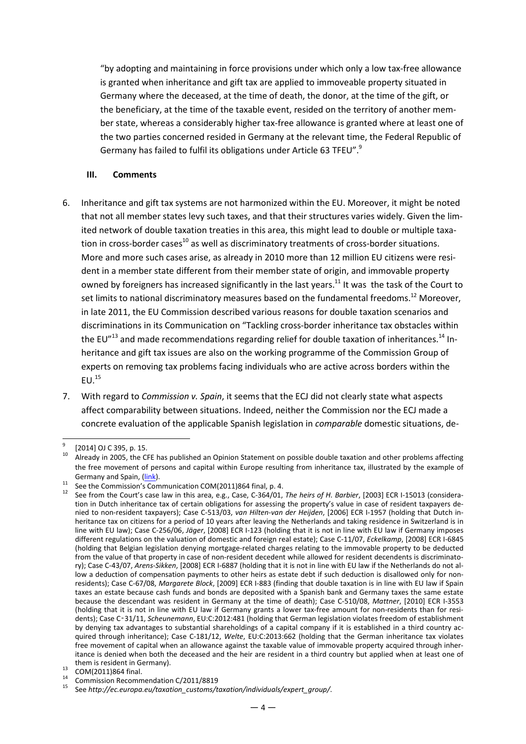"by adopting and maintaining in force provisions under which only a low tax-free allowance is granted when inheritance and gift tax are applied to immoveable property situated in Germany where the deceased, at the time of death, the donor, at the time of the gift, or the beneficiary, at the time of the taxable event, resided on the territory of another member state, whereas a considerably higher tax-free allowance is granted where at least one of the two parties concerned resided in Germany at the relevant time, the Federal Republic of Germany has failed to fulfil its obligations under Article 63 TFEU".<sup>9</sup>

#### **III. Comments**

- 6. Inheritance and gift tax systems are not harmonized within the EU. Moreover, it might be noted that not all member states levy such taxes, and that their structures varies widely. Given the limited network of double taxation treaties in this area, this might lead to double or multiple taxation in cross-border cases<sup>10</sup> as well as discriminatory treatments of cross-border situations. More and more such cases arise, as already in 2010 more than 12 million EU citizens were resident in a member state different from their member state of origin, and immovable property owned by foreigners has increased significantly in the last years.<sup>11</sup> It was the task of the Court to set limits to national discriminatory measures based on the fundamental freedoms.<sup>12</sup> Moreover. in late 2011, the EU Commission described various reasons for double taxation scenarios and discriminations in its Communication on "Tackling cross-border inheritance tax obstacles within the EU" $^{13}$  and made recommendations regarding relief for double taxation of inheritances.<sup>14</sup> Inheritance and gift tax issues are also on the working programme of the Commission Group of experts on removing tax problems facing individuals who are active across borders within the  $EU.<sup>15</sup>$
- 7. With regard to *Commission v. Spain*, it seems that the ECJ did not clearly state what aspects affect comparability between situations. Indeed, neither the Commission nor the ECJ made a concrete evaluation of the applicable Spanish legislation in *comparable* domestic situations, de-

 9  $^{9}$  [2014] OJ C 395, p. 15.

Already in 2005, the CFE has published an Opinion Statement on possible double taxation and other problems affecting the free movement of persons and capital within Europe resulting from inheritance tax, illustrated by the example of Germany and Spain, (link).

 $\frac{11}{11}$  See the Commission's Communication COM(2011)864 final, p. 4.

<sup>12</sup> See from the Court's case law in this area, e.g., Case, C-364/01, *The heirs of H. Barbier*, [2003] ECR I-15013 (consideration in Dutch inheritance tax of certain obligations for assessing the property's value in case of resident taxpayers denied to non-resident taxpayers); Case C-513/03, *van Hilten‐van der Heijden*, [2006] ECR I-1957 (holding that Dutch inheritance tax on citizens for a period of 10 years after leaving the Netherlands and taking residence in Switzerland is in line with EU law); Case C-256/06, *Jäger*, [2008] ECR I-123 (holding that it is not in line with EU law if Germany imposes different regulations on the valuation of domestic and foreign real estate); Case C-11/07, *Eckelkamp*, [2008] ECR I-6845 (holding that Belgian legislation denying mortgage-related charges relating to the immovable property to be deducted from the value of that property in case of non-resident decedent while allowed for resident decendents is discriminatory); Case C-43/07, *Arens‐Sikken*, [2008] ECR I-6887 (holding that it is not in line with EU law if the Netherlands do not allow a deduction of compensation payments to other heirs as estate debt if such deduction is disallowed only for nonresidents); Case C-67/08, *Margarete Block*, [2009] ECR I-883 (finding that double taxation is in line with EU law if Spain taxes an estate because cash funds and bonds are deposited with a Spanish bank and Germany taxes the same estate because the descendant was resident in Germany at the time of death); Case C-510/08, *Mattner*, [2010] ECR I-3553 (holding that it is not in line with EU law if Germany grants a lower tax-free amount for non-residents than for residents); Case C‑31/11, *Scheunemann*, EU:C:2012:481 (holding that German legislation violates freedom of establishment by denying tax advantages to substantial shareholdings of a capital company if it is established in a third country acquired through inheritance); Case C-181/12, *Welte*, EU:C:2013:662 (holding that the German inheritance tax violates free movement of capital when an allowance against the taxable value of immovable property acquired through inheritance is denied when both the deceased and the heir are resident in a third country but applied when at least one of them is resident in Germany).

 $^{13}$  COM(2011)864 final.

<sup>&</sup>lt;sup>14</sup> Commission Recommendation C/2011/8819

<sup>15</sup> See *http://ec.europa.eu/taxation\_customs/taxation/individuals/expert\_group/*.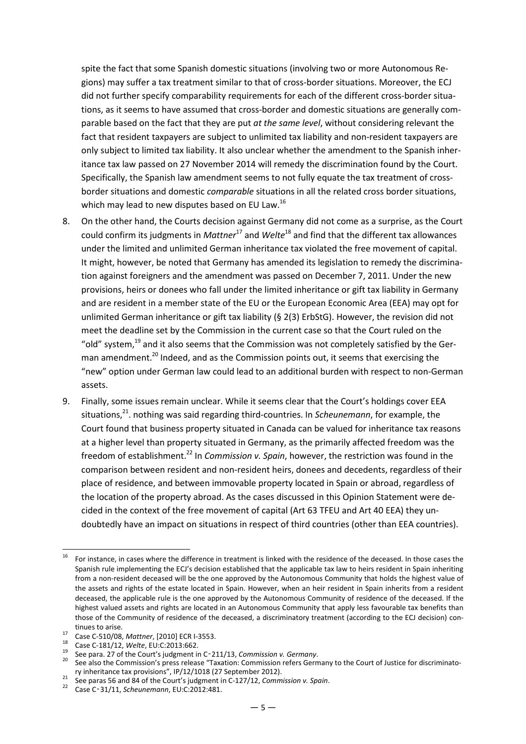spite the fact that some Spanish domestic situations (involving two or more Autonomous Regions) may suffer a tax treatment similar to that of cross-border situations. Moreover, the ECJ did not further specify comparability requirements for each of the different cross-border situations, as it seems to have assumed that cross-border and domestic situations are generally comparable based on the fact that they are put *at the same level*, without considering relevant the fact that resident taxpayers are subject to unlimited tax liability and non-resident taxpayers are only subject to limited tax liability. It also unclear whether the amendment to the Spanish inheritance tax law passed on 27 November 2014 will remedy the discrimination found by the Court. Specifically, the Spanish law amendment seems to not fully equate the tax treatment of crossborder situations and domestic *comparable* situations in all the related cross border situations, which may lead to new disputes based on EU Law.<sup>16</sup>

- 8. On the other hand, the Courts decision against Germany did not come as a surprise, as the Court could confirm its judgments in *Mattner*<sup>17</sup> and *Welte*<sup>18</sup> and find that the different tax allowances under the limited and unlimited German inheritance tax violated the free movement of capital. It might, however, be noted that Germany has amended its legislation to remedy the discrimination against foreigners and the amendment was passed on December 7, 2011. Under the new provisions, heirs or donees who fall under the limited inheritance or gift tax liability in Germany and are resident in a member state of the EU or the European Economic Area (EEA) may opt for unlimited German inheritance or gift tax liability (§ 2(3) ErbStG). However, the revision did not meet the deadline set by the Commission in the current case so that the Court ruled on the "old" system, $^{19}$  and it also seems that the Commission was not completely satisfied by the German amendment.<sup>20</sup> Indeed, and as the Commission points out, it seems that exercising the "new" option under German law could lead to an additional burden with respect to non-German assets.
- 9. Finally, some issues remain unclear. While it seems clear that the Court's holdings cover EEA situations,<sup>21</sup>. nothing was said regarding third-countries. In *Scheunemann*, for example, the Court found that business property situated in Canada can be valued for inheritance tax reasons at a higher level than property situated in Germany, as the primarily affected freedom was the freedom of establishment.<sup>22</sup> In *Commission v. Spain*, however, the restriction was found in the comparison between resident and non-resident heirs, donees and decedents, regardless of their place of residence, and between immovable property located in Spain or abroad, regardless of the location of the property abroad. As the cases discussed in this Opinion Statement were decided in the context of the free movement of capital (Art 63 TFEU and Art 40 EEA) they undoubtedly have an impact on situations in respect of third countries (other than EEA countries).

<sup>16</sup> For instance, in cases where the difference in treatment is linked with the residence of the deceased. In those cases the Spanish rule implementing the ECJ's decision established that the applicable tax law to heirs resident in Spain inheriting from a non-resident deceased will be the one approved by the Autonomous Community that holds the highest value of the assets and rights of the estate located in Spain. However, when an heir resident in Spain inherits from a resident deceased, the applicable rule is the one approved by the Autonomous Community of residence of the deceased. If the highest valued assets and rights are located in an Autonomous Community that apply less favourable tax benefits than those of the Community of residence of the deceased, a discriminatory treatment (according to the ECJ decision) continues to arise.

<sup>17</sup> Case C-510/08, *Mattner*, [2010] ECR I-3553.

<sup>18</sup> Case C-181/12, *Welte*, EU:C:2013:662.

<sup>19</sup> See para. 27 of the Court's judgment in C‑211/13, *Commission v. Germany*.

<sup>&</sup>lt;sup>20</sup> See also the Commission's press release "Taxation: Commission refers Germany to the Court of Justice for discriminatory inheritance tax provisions", IP/12/1018 (27 September 2012).

<sup>&</sup>lt;sup>21</sup> See paras 56 and 84 of the Court's judgment in C-127/12, *Commission v. Spain.* 

<sup>22</sup> Case C‑31/11, *Scheunemann*, EU:C:2012:481.